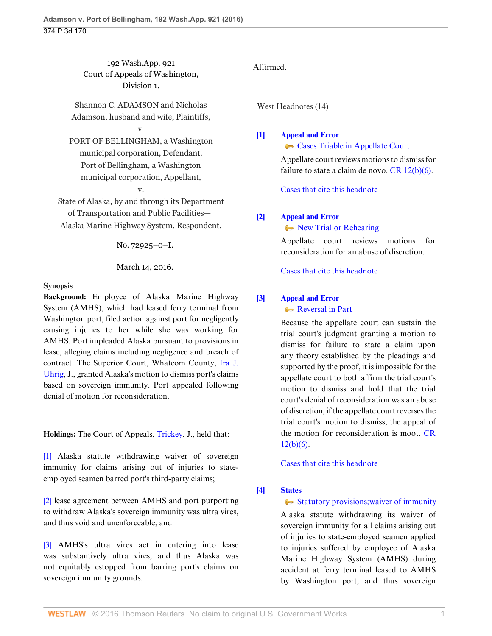192 Wash.App. 921 Court of Appeals of Washington, Division 1.

Shannon C. ADAMSON and Nicholas Adamson, husband and wife, Plaintiffs,

# v.

PORT OF BELLINGHAM, a Washington municipal corporation, Defendant. Port of Bellingham, a Washington municipal corporation, Appellant,

v.

State of Alaska, by and through its Department of Transportation and Public Facilities— Alaska Marine Highway System, Respondent.

> No. 72925–0–I. | March 14, 2016.

### **Synopsis**

**Background:** Employee of Alaska Marine Highway System (AMHS), which had leased ferry terminal from Washington port, filed action against port for negligently causing injuries to her while she was working for AMHS. Port impleaded Alaska pursuant to provisions in lease, alleging claims including negligence and breach of contract. The Superior Court, Whatcom County, [Ira J.](http://www.westlaw.com/Link/Document/FullText?findType=h&pubNum=176284&cite=0312990301&originatingDoc=I0d9abdadeb9411e590d4edf60ce7d742&refType=RQ&originationContext=document&vr=3.0&rs=cblt1.0&transitionType=DocumentItem&contextData=(sc.Search)) [Uhrig](http://www.westlaw.com/Link/Document/FullText?findType=h&pubNum=176284&cite=0312990301&originatingDoc=I0d9abdadeb9411e590d4edf60ce7d742&refType=RQ&originationContext=document&vr=3.0&rs=cblt1.0&transitionType=DocumentItem&contextData=(sc.Search)), J., granted Alaska's motion to dismiss port's claims based on sovereign immunity. Port appealed following denial of motion for reconsideration.

**Holdings:** The Court of Appeals, [Trickey](http://www.westlaw.com/Link/Document/FullText?findType=h&pubNum=176284&cite=0148020401&originatingDoc=I0d9abdadeb9411e590d4edf60ce7d742&refType=RQ&originationContext=document&vr=3.0&rs=cblt1.0&transitionType=DocumentItem&contextData=(sc.Search)), J., held that:

[\[1\]](#page-0-0) Alaska statute withdrawing waiver of sovereign immunity for claims arising out of injuries to stateemployed seamen barred port's third-party claims;

[\[2\]](#page-1-0) lease agreement between AMHS and port purporting to withdraw Alaska's sovereign immunity was ultra vires, and thus void and unenforceable; and

[\[3\]](#page-1-1) AMHS's ultra vires act in entering into lease was substantively ultra vires, and thus Alaska was not equitably estopped from barring port's claims on sovereign immunity grounds.

# Affirmed.

West Headnotes (14)

## <span id="page-0-1"></span>**[\[1\]](#page-3-0) [Appeal and Error](http://www.westlaw.com/Browse/Home/KeyNumber/30/View.html?docGuid=I0d9abdadeb9411e590d4edf60ce7d742&originationContext=document&vr=3.0&rs=cblt1.0&transitionType=DocumentItem&contextData=(sc.Search))**

**[Cases Triable in Appellate Court](http://www.westlaw.com/Browse/Home/KeyNumber/30k893/View.html?docGuid=I0d9abdadeb9411e590d4edf60ce7d742&originationContext=document&vr=3.0&rs=cblt1.0&transitionType=DocumentItem&contextData=(sc.Search))** 

Appellate court reviews motions to dismiss for failure to state a claim de novo.  $CR 12(b)(6)$ .

[Cases that cite this headnote](http://www.westlaw.com/Link/RelatedInformation/DocHeadnoteLink?docGuid=I0d9abdadeb9411e590d4edf60ce7d742&headnoteId=203847605000120160802004703&originationContext=document&vr=3.0&rs=cblt1.0&transitionType=CitingReferences&contextData=(sc.Search))

# <span id="page-0-2"></span>**[\[2\]](#page-3-1) [Appeal and Error](http://www.westlaw.com/Browse/Home/KeyNumber/30/View.html?docGuid=I0d9abdadeb9411e590d4edf60ce7d742&originationContext=document&vr=3.0&rs=cblt1.0&transitionType=DocumentItem&contextData=(sc.Search))**

• [New Trial or Rehearing](http://www.westlaw.com/Browse/Home/KeyNumber/30k976/View.html?docGuid=I0d9abdadeb9411e590d4edf60ce7d742&originationContext=document&vr=3.0&rs=cblt1.0&transitionType=DocumentItem&contextData=(sc.Search))

Appellate court reviews motions for reconsideration for an abuse of discretion.

[Cases that cite this headnote](http://www.westlaw.com/Link/RelatedInformation/DocHeadnoteLink?docGuid=I0d9abdadeb9411e590d4edf60ce7d742&headnoteId=203847605000220160802004703&originationContext=document&vr=3.0&rs=cblt1.0&transitionType=CitingReferences&contextData=(sc.Search))

# <span id="page-0-3"></span>**[\[3\]](#page-3-2) [Appeal and Error](http://www.westlaw.com/Browse/Home/KeyNumber/30/View.html?docGuid=I0d9abdadeb9411e590d4edf60ce7d742&originationContext=document&vr=3.0&rs=cblt1.0&transitionType=DocumentItem&contextData=(sc.Search))**

[Reversal in Part](http://www.westlaw.com/Browse/Home/KeyNumber/30k1172/View.html?docGuid=I0d9abdadeb9411e590d4edf60ce7d742&originationContext=document&vr=3.0&rs=cblt1.0&transitionType=DocumentItem&contextData=(sc.Search))

Because the appellate court can sustain the trial court's judgment granting a motion to dismiss for failure to state a claim upon any theory established by the pleadings and supported by the proof, it is impossible for the appellate court to both affirm the trial court's motion to dismiss and hold that the trial court's denial of reconsideration was an abuse of discretion; if the appellate court reverses the trial court's motion to dismiss, the appeal of the motion for reconsideration is moot. [CR](http://www.westlaw.com/Link/Document/FullText?findType=L&pubNum=1003982&cite=WARSUPERCTCIVCR12&originatingDoc=I0d9abdadeb9411e590d4edf60ce7d742&refType=LQ&originationContext=document&vr=3.0&rs=cblt1.0&transitionType=DocumentItem&contextData=(sc.Search))  $12(b)(6)$ .

[Cases that cite this headnote](http://www.westlaw.com/Link/RelatedInformation/DocHeadnoteLink?docGuid=I0d9abdadeb9411e590d4edf60ce7d742&headnoteId=203847605000320160802004703&originationContext=document&vr=3.0&rs=cblt1.0&transitionType=CitingReferences&contextData=(sc.Search))

# <span id="page-0-0"></span>**[\[4\]](#page-3-3) [States](http://www.westlaw.com/Browse/Home/KeyNumber/360/View.html?docGuid=I0d9abdadeb9411e590d4edf60ce7d742&originationContext=document&vr=3.0&rs=cblt1.0&transitionType=DocumentItem&contextData=(sc.Search))**

# [Statutory provisions; waiver of immunity](http://www.westlaw.com/Browse/Home/KeyNumber/360k112(2)/View.html?docGuid=I0d9abdadeb9411e590d4edf60ce7d742&originationContext=document&vr=3.0&rs=cblt1.0&transitionType=DocumentItem&contextData=(sc.Search))

Alaska statute withdrawing its waiver of sovereign immunity for all claims arising out of injuries to state-employed seamen applied to injuries suffered by employee of Alaska Marine Highway System (AMHS) during accident at ferry terminal leased to AMHS by Washington port, and thus sovereign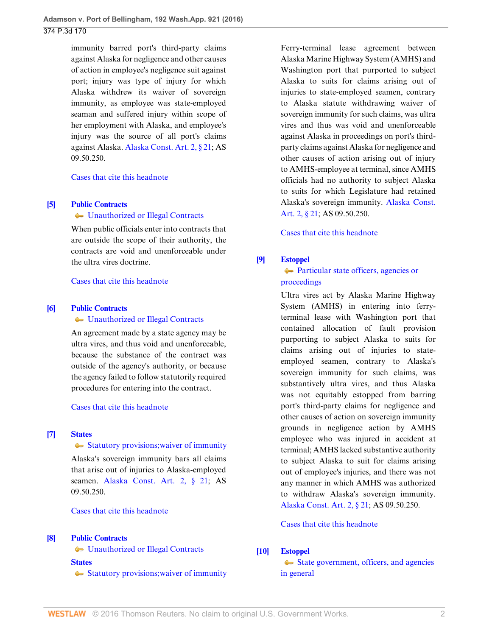immunity barred port's third-party claims against Alaska for negligence and other causes of action in employee's negligence suit against port; injury was type of injury for which Alaska withdrew its waiver of sovereign immunity, as employee was state-employed seaman and suffered injury within scope of her employment with Alaska, and employee's injury was the source of all port's claims against Alaska. [Alaska Const. Art. 2, § 21](http://www.westlaw.com/Link/Document/FullText?findType=L&pubNum=1000373&cite=AKCNART2S21&originatingDoc=I0d9abdadeb9411e590d4edf60ce7d742&refType=LQ&originationContext=document&vr=3.0&rs=cblt1.0&transitionType=DocumentItem&contextData=(sc.Search)); AS 09.50.250.

[Cases that cite this headnote](http://www.westlaw.com/Link/RelatedInformation/DocHeadnoteLink?docGuid=I0d9abdadeb9411e590d4edf60ce7d742&headnoteId=203847605000420160802004703&originationContext=document&vr=3.0&rs=cblt1.0&transitionType=CitingReferences&contextData=(sc.Search))

### <span id="page-1-2"></span>**[\[5\]](#page-3-4) [Public Contracts](http://www.westlaw.com/Browse/Home/KeyNumber/316H/View.html?docGuid=I0d9abdadeb9411e590d4edf60ce7d742&originationContext=document&vr=3.0&rs=cblt1.0&transitionType=DocumentItem&contextData=(sc.Search))**

# [Unauthorized or Illegal Contracts](http://www.westlaw.com/Browse/Home/KeyNumber/316Hk194/View.html?docGuid=I0d9abdadeb9411e590d4edf60ce7d742&originationContext=document&vr=3.0&rs=cblt1.0&transitionType=DocumentItem&contextData=(sc.Search))

When public officials enter into contracts that are outside the scope of their authority, the contracts are void and unenforceable under the ultra vires doctrine.

[Cases that cite this headnote](http://www.westlaw.com/Link/RelatedInformation/DocHeadnoteLink?docGuid=I0d9abdadeb9411e590d4edf60ce7d742&headnoteId=203847605000520160802004703&originationContext=document&vr=3.0&rs=cblt1.0&transitionType=CitingReferences&contextData=(sc.Search))

#### <span id="page-1-3"></span>**[\[6\]](#page-3-5) [Public Contracts](http://www.westlaw.com/Browse/Home/KeyNumber/316H/View.html?docGuid=I0d9abdadeb9411e590d4edf60ce7d742&originationContext=document&vr=3.0&rs=cblt1.0&transitionType=DocumentItem&contextData=(sc.Search))**

#### [Unauthorized or Illegal Contracts](http://www.westlaw.com/Browse/Home/KeyNumber/316Hk194/View.html?docGuid=I0d9abdadeb9411e590d4edf60ce7d742&originationContext=document&vr=3.0&rs=cblt1.0&transitionType=DocumentItem&contextData=(sc.Search))

An agreement made by a state agency may be ultra vires, and thus void and unenforceable, because the substance of the contract was outside of the agency's authority, or because the agency failed to follow statutorily required procedures for entering into the contract.

#### [Cases that cite this headnote](http://www.westlaw.com/Link/RelatedInformation/DocHeadnoteLink?docGuid=I0d9abdadeb9411e590d4edf60ce7d742&headnoteId=203847605000620160802004703&originationContext=document&vr=3.0&rs=cblt1.0&transitionType=CitingReferences&contextData=(sc.Search))

#### <span id="page-1-4"></span>**[\[7\]](#page-4-0) [States](http://www.westlaw.com/Browse/Home/KeyNumber/360/View.html?docGuid=I0d9abdadeb9411e590d4edf60ce7d742&originationContext=document&vr=3.0&rs=cblt1.0&transitionType=DocumentItem&contextData=(sc.Search))**

#### [Statutory provisions; waiver of immunity](http://www.westlaw.com/Browse/Home/KeyNumber/360k112(2)/View.html?docGuid=I0d9abdadeb9411e590d4edf60ce7d742&originationContext=document&vr=3.0&rs=cblt1.0&transitionType=DocumentItem&contextData=(sc.Search))

Alaska's sovereign immunity bars all claims that arise out of injuries to Alaska-employed seamen. [Alaska Const. Art. 2, § 21](http://www.westlaw.com/Link/Document/FullText?findType=L&pubNum=1000373&cite=AKCNART2S21&originatingDoc=I0d9abdadeb9411e590d4edf60ce7d742&refType=LQ&originationContext=document&vr=3.0&rs=cblt1.0&transitionType=DocumentItem&contextData=(sc.Search)); AS 09.50.250.

[Cases that cite this headnote](http://www.westlaw.com/Link/RelatedInformation/DocHeadnoteLink?docGuid=I0d9abdadeb9411e590d4edf60ce7d742&headnoteId=203847605000720160802004703&originationContext=document&vr=3.0&rs=cblt1.0&transitionType=CitingReferences&contextData=(sc.Search))

#### <span id="page-1-0"></span>**[\[8\]](#page-4-1) [Public Contracts](http://www.westlaw.com/Browse/Home/KeyNumber/316H/View.html?docGuid=I0d9abdadeb9411e590d4edf60ce7d742&originationContext=document&vr=3.0&rs=cblt1.0&transitionType=DocumentItem&contextData=(sc.Search))**

[Unauthorized or Illegal Contracts](http://www.westlaw.com/Browse/Home/KeyNumber/316Hk194/View.html?docGuid=I0d9abdadeb9411e590d4edf60ce7d742&originationContext=document&vr=3.0&rs=cblt1.0&transitionType=DocumentItem&contextData=(sc.Search)) **[States](http://www.westlaw.com/Browse/Home/KeyNumber/360/View.html?docGuid=I0d9abdadeb9411e590d4edf60ce7d742&originationContext=document&vr=3.0&rs=cblt1.0&transitionType=DocumentItem&contextData=(sc.Search))**

[Statutory provisions; waiver of immunity](http://www.westlaw.com/Browse/Home/KeyNumber/360k112(2)/View.html?docGuid=I0d9abdadeb9411e590d4edf60ce7d742&originationContext=document&vr=3.0&rs=cblt1.0&transitionType=DocumentItem&contextData=(sc.Search))

Ferry-terminal lease agreement between Alaska Marine Highway System (AMHS) and Washington port that purported to subject Alaska to suits for claims arising out of injuries to state-employed seamen, contrary to Alaska statute withdrawing waiver of sovereign immunity for such claims, was ultra vires and thus was void and unenforceable against Alaska in proceedings on port's thirdparty claims against Alaska for negligence and other causes of action arising out of injury to AMHS-employee at terminal, since AMHS officials had no authority to subject Alaska to suits for which Legislature had retained Alaska's sovereign immunity. [Alaska Const.](http://www.westlaw.com/Link/Document/FullText?findType=L&pubNum=1000373&cite=AKCNART2S21&originatingDoc=I0d9abdadeb9411e590d4edf60ce7d742&refType=LQ&originationContext=document&vr=3.0&rs=cblt1.0&transitionType=DocumentItem&contextData=(sc.Search)) [Art. 2, § 21](http://www.westlaw.com/Link/Document/FullText?findType=L&pubNum=1000373&cite=AKCNART2S21&originatingDoc=I0d9abdadeb9411e590d4edf60ce7d742&refType=LQ&originationContext=document&vr=3.0&rs=cblt1.0&transitionType=DocumentItem&contextData=(sc.Search)); AS 09.50.250.

[Cases that cite this headnote](http://www.westlaw.com/Link/RelatedInformation/DocHeadnoteLink?docGuid=I0d9abdadeb9411e590d4edf60ce7d742&headnoteId=203847605000820160802004703&originationContext=document&vr=3.0&rs=cblt1.0&transitionType=CitingReferences&contextData=(sc.Search))

### <span id="page-1-1"></span>**[\[9\]](#page-4-2) [Estoppel](http://www.westlaw.com/Browse/Home/KeyNumber/156/View.html?docGuid=I0d9abdadeb9411e590d4edf60ce7d742&originationContext=document&vr=3.0&rs=cblt1.0&transitionType=DocumentItem&contextData=(sc.Search))**

# [Particular state officers, agencies or](http://www.westlaw.com/Browse/Home/KeyNumber/156k62.2(2)/View.html?docGuid=I0d9abdadeb9411e590d4edf60ce7d742&originationContext=document&vr=3.0&rs=cblt1.0&transitionType=DocumentItem&contextData=(sc.Search)) [proceedings](http://www.westlaw.com/Browse/Home/KeyNumber/156k62.2(2)/View.html?docGuid=I0d9abdadeb9411e590d4edf60ce7d742&originationContext=document&vr=3.0&rs=cblt1.0&transitionType=DocumentItem&contextData=(sc.Search))

Ultra vires act by Alaska Marine Highway System (AMHS) in entering into ferryterminal lease with Washington port that contained allocation of fault provision purporting to subject Alaska to suits for claims arising out of injuries to stateemployed seamen, contrary to Alaska's sovereign immunity for such claims, was substantively ultra vires, and thus Alaska was not equitably estopped from barring port's third-party claims for negligence and other causes of action on sovereign immunity grounds in negligence action by AMHS employee who was injured in accident at terminal; AMHS lacked substantive authority to subject Alaska to suit for claims arising out of employee's injuries, and there was not any manner in which AMHS was authorized to withdraw Alaska's sovereign immunity. [Alaska Const. Art. 2, § 21](http://www.westlaw.com/Link/Document/FullText?findType=L&pubNum=1000373&cite=AKCNART2S21&originatingDoc=I0d9abdadeb9411e590d4edf60ce7d742&refType=LQ&originationContext=document&vr=3.0&rs=cblt1.0&transitionType=DocumentItem&contextData=(sc.Search)); AS 09.50.250.

[Cases that cite this headnote](http://www.westlaw.com/Link/RelatedInformation/DocHeadnoteLink?docGuid=I0d9abdadeb9411e590d4edf60ce7d742&headnoteId=203847605000920160802004703&originationContext=document&vr=3.0&rs=cblt1.0&transitionType=CitingReferences&contextData=(sc.Search))

### <span id="page-1-5"></span>**[\[10\]](#page-4-3) [Estoppel](http://www.westlaw.com/Browse/Home/KeyNumber/156/View.html?docGuid=I0d9abdadeb9411e590d4edf60ce7d742&originationContext=document&vr=3.0&rs=cblt1.0&transitionType=DocumentItem&contextData=(sc.Search))**

[State government, officers, and agencies](http://www.westlaw.com/Browse/Home/KeyNumber/156k62.2(1)/View.html?docGuid=I0d9abdadeb9411e590d4edf60ce7d742&originationContext=document&vr=3.0&rs=cblt1.0&transitionType=DocumentItem&contextData=(sc.Search)) [in general](http://www.westlaw.com/Browse/Home/KeyNumber/156k62.2(1)/View.html?docGuid=I0d9abdadeb9411e590d4edf60ce7d742&originationContext=document&vr=3.0&rs=cblt1.0&transitionType=DocumentItem&contextData=(sc.Search))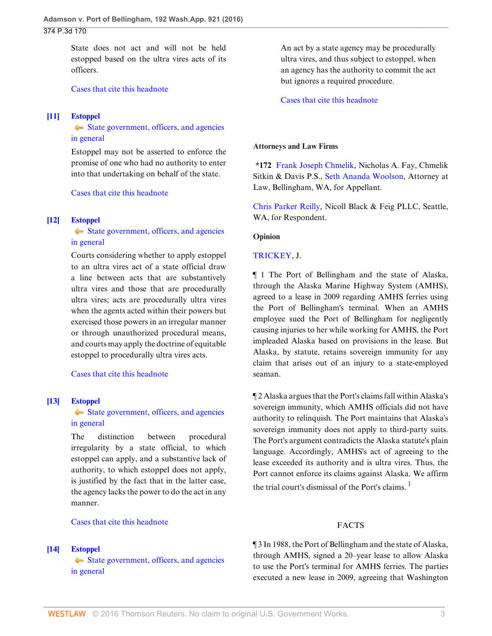State does not act and will not be held estopped based on the ultra vires acts of its officers.

[Cases that cite this headnote](http://www.westlaw.com/Link/RelatedInformation/DocHeadnoteLink?docGuid=I0d9abdadeb9411e590d4edf60ce7d742&headnoteId=203847605001020160802004703&originationContext=document&vr=3.0&rs=cblt1.0&transitionType=CitingReferences&contextData=(sc.Search))

### <span id="page-2-0"></span>**[\[11\]](#page-4-4) [Estoppel](http://www.westlaw.com/Browse/Home/KeyNumber/156/View.html?docGuid=I0d9abdadeb9411e590d4edf60ce7d742&originationContext=document&vr=3.0&rs=cblt1.0&transitionType=DocumentItem&contextData=(sc.Search))**

[State government, officers, and agencies](http://www.westlaw.com/Browse/Home/KeyNumber/156k62.2(1)/View.html?docGuid=I0d9abdadeb9411e590d4edf60ce7d742&originationContext=document&vr=3.0&rs=cblt1.0&transitionType=DocumentItem&contextData=(sc.Search)) [in general](http://www.westlaw.com/Browse/Home/KeyNumber/156k62.2(1)/View.html?docGuid=I0d9abdadeb9411e590d4edf60ce7d742&originationContext=document&vr=3.0&rs=cblt1.0&transitionType=DocumentItem&contextData=(sc.Search))

Estoppel may not be asserted to enforce the promise of one who had no authority to enter into that undertaking on behalf of the state.

[Cases that cite this headnote](http://www.westlaw.com/Link/RelatedInformation/DocHeadnoteLink?docGuid=I0d9abdadeb9411e590d4edf60ce7d742&headnoteId=203847605001120160802004703&originationContext=document&vr=3.0&rs=cblt1.0&transitionType=CitingReferences&contextData=(sc.Search))

#### <span id="page-2-1"></span>**[\[12\]](#page-4-5) [Estoppel](http://www.westlaw.com/Browse/Home/KeyNumber/156/View.html?docGuid=I0d9abdadeb9411e590d4edf60ce7d742&originationContext=document&vr=3.0&rs=cblt1.0&transitionType=DocumentItem&contextData=(sc.Search))**

[State government, officers, and agencies](http://www.westlaw.com/Browse/Home/KeyNumber/156k62.2(1)/View.html?docGuid=I0d9abdadeb9411e590d4edf60ce7d742&originationContext=document&vr=3.0&rs=cblt1.0&transitionType=DocumentItem&contextData=(sc.Search)) [in general](http://www.westlaw.com/Browse/Home/KeyNumber/156k62.2(1)/View.html?docGuid=I0d9abdadeb9411e590d4edf60ce7d742&originationContext=document&vr=3.0&rs=cblt1.0&transitionType=DocumentItem&contextData=(sc.Search))

Courts considering whether to apply estoppel to an ultra vires act of a state official draw a line between acts that are substantively ultra vires and those that are procedurally ultra vires; acts are procedurally ultra vires when the agents acted within their powers but exercised those powers in an irregular manner or through unauthorized procedural means, and courts may apply the doctrine of equitable estoppel to procedurally ultra vires acts.

[Cases that cite this headnote](http://www.westlaw.com/Link/RelatedInformation/DocHeadnoteLink?docGuid=I0d9abdadeb9411e590d4edf60ce7d742&headnoteId=203847605001220160802004703&originationContext=document&vr=3.0&rs=cblt1.0&transitionType=CitingReferences&contextData=(sc.Search))

#### <span id="page-2-2"></span>**[\[13\]](#page-4-6) [Estoppel](http://www.westlaw.com/Browse/Home/KeyNumber/156/View.html?docGuid=I0d9abdadeb9411e590d4edf60ce7d742&originationContext=document&vr=3.0&rs=cblt1.0&transitionType=DocumentItem&contextData=(sc.Search))**

[State government, officers, and agencies](http://www.westlaw.com/Browse/Home/KeyNumber/156k62.2(1)/View.html?docGuid=I0d9abdadeb9411e590d4edf60ce7d742&originationContext=document&vr=3.0&rs=cblt1.0&transitionType=DocumentItem&contextData=(sc.Search)) [in general](http://www.westlaw.com/Browse/Home/KeyNumber/156k62.2(1)/View.html?docGuid=I0d9abdadeb9411e590d4edf60ce7d742&originationContext=document&vr=3.0&rs=cblt1.0&transitionType=DocumentItem&contextData=(sc.Search))

The distinction between procedural irregularity by a state official, to which estoppel can apply, and a substantive lack of authority, to which estoppel does not apply, is justified by the fact that in the latter case, the agency lacks the power to do the act in any manner.

### [Cases that cite this headnote](http://www.westlaw.com/Link/RelatedInformation/DocHeadnoteLink?docGuid=I0d9abdadeb9411e590d4edf60ce7d742&headnoteId=203847605001320160802004703&originationContext=document&vr=3.0&rs=cblt1.0&transitionType=CitingReferences&contextData=(sc.Search))

<span id="page-2-3"></span>**[\[14\]](#page-5-0) [Estoppel](http://www.westlaw.com/Browse/Home/KeyNumber/156/View.html?docGuid=I0d9abdadeb9411e590d4edf60ce7d742&originationContext=document&vr=3.0&rs=cblt1.0&transitionType=DocumentItem&contextData=(sc.Search))**

 $\blacklozenge$  [State government, officers, and agencies](http://www.westlaw.com/Browse/Home/KeyNumber/156k62.2(1)/View.html?docGuid=I0d9abdadeb9411e590d4edf60ce7d742&originationContext=document&vr=3.0&rs=cblt1.0&transitionType=DocumentItem&contextData=(sc.Search)) [in general](http://www.westlaw.com/Browse/Home/KeyNumber/156k62.2(1)/View.html?docGuid=I0d9abdadeb9411e590d4edf60ce7d742&originationContext=document&vr=3.0&rs=cblt1.0&transitionType=DocumentItem&contextData=(sc.Search))

An act by a state agency may be procedurally ultra vires, and thus subject to estoppel, when an agency has the authority to commit the act but ignores a required procedure.

#### [Cases that cite this headnote](http://www.westlaw.com/Link/RelatedInformation/DocHeadnoteLink?docGuid=I0d9abdadeb9411e590d4edf60ce7d742&headnoteId=203847605001420160802004703&originationContext=document&vr=3.0&rs=cblt1.0&transitionType=CitingReferences&contextData=(sc.Search))

#### **Attorneys and Law Firms**

**\*172** [Frank Joseph Chmelik,](http://www.westlaw.com/Link/Document/FullText?findType=h&pubNum=176284&cite=0154859101&originatingDoc=I0d9abdadeb9411e590d4edf60ce7d742&refType=RQ&originationContext=document&vr=3.0&rs=cblt1.0&transitionType=DocumentItem&contextData=(sc.Search)) Nicholas A. Fay, Chmelik Sitkin & Davis P.S., [Seth Ananda Woolson](http://www.westlaw.com/Link/Document/FullText?findType=h&pubNum=176284&cite=0462958101&originatingDoc=I0d9abdadeb9411e590d4edf60ce7d742&refType=RQ&originationContext=document&vr=3.0&rs=cblt1.0&transitionType=DocumentItem&contextData=(sc.Search)), Attorney at Law, Bellingham, WA, for Appellant.

[Chris Parker Reilly](http://www.westlaw.com/Link/Document/FullText?findType=h&pubNum=176284&cite=0402099001&originatingDoc=I0d9abdadeb9411e590d4edf60ce7d742&refType=RQ&originationContext=document&vr=3.0&rs=cblt1.0&transitionType=DocumentItem&contextData=(sc.Search)), Nicoll Black & Feig PLLC, Seattle, WA, for Respondent.

#### **Opinion**

#### [TRICKEY](http://www.westlaw.com/Link/Document/FullText?findType=h&pubNum=176284&cite=0148020401&originatingDoc=I0d9abdadeb9411e590d4edf60ce7d742&refType=RQ&originationContext=document&vr=3.0&rs=cblt1.0&transitionType=DocumentItem&contextData=(sc.Search)), J.

¶ 1 The Port of Bellingham and the state of Alaska, through the Alaska Marine Highway System (AMHS), agreed to a lease in 2009 regarding AMHS ferries using the Port of Bellingham's terminal. When an AMHS employee sued the Port of Bellingham for negligently causing injuries to her while working for AMHS, the Port impleaded Alaska based on provisions in the lease. But Alaska, by statute, retains sovereign immunity for any claim that arises out of an injury to a state-employed seaman.

¶ 2 Alaska argues that the Port's claims fall within Alaska's sovereign immunity, which AMHS officials did not have authority to relinquish. The Port maintains that Alaska's sovereign immunity does not apply to third-party suits. The Port's argument contradicts the Alaska statute's plain language. Accordingly, AMHS's act of agreeing to the lease exceeded its authority and is ultra vires. Thus, the Port cannot enforce its claims against Alaska. We affirm the trial court's dismissal of the Port's claims.<sup>[1](#page-5-1)</sup>

#### <span id="page-2-4"></span>FACTS

¶ 3 In 1988, the Port of Bellingham and the state of Alaska, through AMHS, signed a 20–year lease to allow Alaska to use the Port's terminal for AMHS ferries. The parties executed a new lease in 2009, agreeing that Washington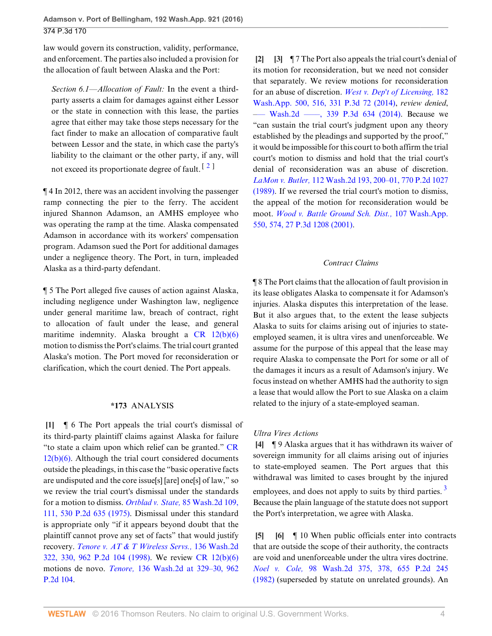law would govern its construction, validity, performance, and enforcement. The parties also included a provision for the allocation of fault between Alaska and the Port:

*Section 6.1—Allocation of Fault:* In the event a thirdparty asserts a claim for damages against either Lessor or the state in connection with this lease, the parties agree that either may take those steps necessary for the fact finder to make an allocation of comparative fault between Lessor and the state, in which case the party's liability to the claimant or the other party, if any, will not exceed its proportionate degree of fault.  $[2]$  $[2]$  $[2]$ 

¶ 4 In 2012, there was an accident involving the passenger ramp connecting the pier to the ferry. The accident injured Shannon Adamson, an AMHS employee who was operating the ramp at the time. Alaska compensated Adamson in accordance with its workers' compensation program. Adamson sued the Port for additional damages under a negligence theory. The Port, in turn, impleaded Alaska as a third-party defendant.

¶ 5 The Port alleged five causes of action against Alaska, including negligence under Washington law, negligence under general maritime law, breach of contract, right to allocation of fault under the lease, and general maritime indemnity. Alaska brought a [CR 12\(b\)\(6\)](http://www.westlaw.com/Link/Document/FullText?findType=L&pubNum=1003982&cite=WARSUPERCTCIVCR12&originatingDoc=I0d9abdadeb9411e590d4edf60ce7d742&refType=LQ&originationContext=document&vr=3.0&rs=cblt1.0&transitionType=DocumentItem&contextData=(sc.Search)) motion to dismiss the Port's claims. The trial court granted Alaska's motion. The Port moved for reconsideration or clarification, which the court denied. The Port appeals.

### **\*173** ANALYSIS

<span id="page-3-0"></span>**[\[1](#page-0-1)]** ¶ 6 The Port appeals the trial court's dismissal of its third-party plaintiff claims against Alaska for failure "to state a claim upon which relief can be granted." [CR](http://www.westlaw.com/Link/Document/FullText?findType=L&pubNum=1003982&cite=WARSUPERCTCIVCR12&originatingDoc=I0d9abdadeb9411e590d4edf60ce7d742&refType=LQ&originationContext=document&vr=3.0&rs=cblt1.0&transitionType=DocumentItem&contextData=(sc.Search)) [12\(b\)\(6\).](http://www.westlaw.com/Link/Document/FullText?findType=L&pubNum=1003982&cite=WARSUPERCTCIVCR12&originatingDoc=I0d9abdadeb9411e590d4edf60ce7d742&refType=LQ&originationContext=document&vr=3.0&rs=cblt1.0&transitionType=DocumentItem&contextData=(sc.Search)) Although the trial court considered documents outside the pleadings, in this case the "basic operative facts are undisputed and the core issue[s] [are] one[s] of law," so we review the trial court's dismissal under the standards for a motion to dismiss. *Ortblad v. State,* [85 Wash.2d 109,](http://www.westlaw.com/Link/Document/FullText?findType=Y&serNum=1975124893&pubNum=0000661&originatingDoc=I0d9abdadeb9411e590d4edf60ce7d742&refType=RP&originationContext=document&vr=3.0&rs=cblt1.0&transitionType=DocumentItem&contextData=(sc.Search)) [111, 530 P.2d 635 \(1975\).](http://www.westlaw.com/Link/Document/FullText?findType=Y&serNum=1975124893&pubNum=0000661&originatingDoc=I0d9abdadeb9411e590d4edf60ce7d742&refType=RP&originationContext=document&vr=3.0&rs=cblt1.0&transitionType=DocumentItem&contextData=(sc.Search)) Dismissal under this standard is appropriate only "if it appears beyond doubt that the plaintiff cannot prove any set of facts" that would justify recovery. *[Tenore v. AT & T Wireless Servs.,](http://www.westlaw.com/Link/Document/FullText?findType=Y&serNum=1998186990&pubNum=0000661&originatingDoc=I0d9abdadeb9411e590d4edf60ce7d742&refType=RP&originationContext=document&vr=3.0&rs=cblt1.0&transitionType=DocumentItem&contextData=(sc.Search))* 136 Wash.2d [322, 330, 962 P.2d 104 \(1998\).](http://www.westlaw.com/Link/Document/FullText?findType=Y&serNum=1998186990&pubNum=0000661&originatingDoc=I0d9abdadeb9411e590d4edf60ce7d742&refType=RP&originationContext=document&vr=3.0&rs=cblt1.0&transitionType=DocumentItem&contextData=(sc.Search)) We review [CR 12\(b\)\(6\)](http://www.westlaw.com/Link/Document/FullText?findType=L&pubNum=1003982&cite=WARSUPERCTCIVCR12&originatingDoc=I0d9abdadeb9411e590d4edf60ce7d742&refType=LQ&originationContext=document&vr=3.0&rs=cblt1.0&transitionType=DocumentItem&contextData=(sc.Search)) motions de novo. *Tenore,* [136 Wash.2d at 329–30, 962](http://www.westlaw.com/Link/Document/FullText?findType=Y&serNum=1998186990&pubNum=0000661&originatingDoc=I0d9abdadeb9411e590d4edf60ce7d742&refType=RP&originationContext=document&vr=3.0&rs=cblt1.0&transitionType=DocumentItem&contextData=(sc.Search)) [P.2d 104.](http://www.westlaw.com/Link/Document/FullText?findType=Y&serNum=1998186990&pubNum=0000661&originatingDoc=I0d9abdadeb9411e590d4edf60ce7d742&refType=RP&originationContext=document&vr=3.0&rs=cblt1.0&transitionType=DocumentItem&contextData=(sc.Search))

<span id="page-3-6"></span><span id="page-3-2"></span><span id="page-3-1"></span>**[\[2](#page-0-2)] [\[3](#page-0-3)]** ¶ 7 The Port also appeals the trial court's denial of its motion for reconsideration, but we need not consider that separately. We review motions for reconsideration for an abuse of discretion. *[West v. Dep't of Licensing,](http://www.westlaw.com/Link/Document/FullText?findType=Y&serNum=2033981761&pubNum=0004645&originatingDoc=I0d9abdadeb9411e590d4edf60ce7d742&refType=RP&originationContext=document&vr=3.0&rs=cblt1.0&transitionType=DocumentItem&contextData=(sc.Search))* 182 [Wash.App. 500, 516, 331 P.3d 72 \(2014\)](http://www.westlaw.com/Link/Document/FullText?findType=Y&serNum=2033981761&pubNum=0004645&originatingDoc=I0d9abdadeb9411e590d4edf60ce7d742&refType=RP&originationContext=document&vr=3.0&rs=cblt1.0&transitionType=DocumentItem&contextData=(sc.Search)), *review denied*, –[–– Wash.2d ––––, 339 P.3d 634 \(2014\).](http://www.westlaw.com/Link/Document/FullText?findType=Y&pubNum=0004645&cite=339PC3D634&originatingDoc=I0d9abdadeb9411e590d4edf60ce7d742&refType=RP&originationContext=document&vr=3.0&rs=cblt1.0&transitionType=DocumentItem&contextData=(sc.Search)) Because we "can sustain the trial court's judgment upon any theory established by the pleadings and supported by the proof," it would be impossible for this court to both affirm the trial court's motion to dismiss and hold that the trial court's denial of reconsideration was an abuse of discretion. *LaMon v. Butler,* [112 Wash.2d 193, 200–01, 770 P.2d 1027](http://www.westlaw.com/Link/Document/FullText?findType=Y&serNum=1989047983&pubNum=0000661&originatingDoc=I0d9abdadeb9411e590d4edf60ce7d742&refType=RP&originationContext=document&vr=3.0&rs=cblt1.0&transitionType=DocumentItem&contextData=(sc.Search)) [\(1989\).](http://www.westlaw.com/Link/Document/FullText?findType=Y&serNum=1989047983&pubNum=0000661&originatingDoc=I0d9abdadeb9411e590d4edf60ce7d742&refType=RP&originationContext=document&vr=3.0&rs=cblt1.0&transitionType=DocumentItem&contextData=(sc.Search)) If we reversed the trial court's motion to dismiss, the appeal of the motion for reconsideration would be moot. *[Wood v. Battle Ground Sch. Dist.,](http://www.westlaw.com/Link/Document/FullText?findType=Y&serNum=2001650391&pubNum=0004645&originatingDoc=I0d9abdadeb9411e590d4edf60ce7d742&refType=RP&originationContext=document&vr=3.0&rs=cblt1.0&transitionType=DocumentItem&contextData=(sc.Search))* 107 Wash.App. [550, 574, 27 P.3d 1208 \(2001\).](http://www.westlaw.com/Link/Document/FullText?findType=Y&serNum=2001650391&pubNum=0004645&originatingDoc=I0d9abdadeb9411e590d4edf60ce7d742&refType=RP&originationContext=document&vr=3.0&rs=cblt1.0&transitionType=DocumentItem&contextData=(sc.Search))

# *Contract Claims*

¶ 8 The Port claims that the allocation of fault provision in its lease obligates Alaska to compensate it for Adamson's injuries. Alaska disputes this interpretation of the lease. But it also argues that, to the extent the lease subjects Alaska to suits for claims arising out of injuries to stateemployed seamen, it is ultra vires and unenforceable. We assume for the purpose of this appeal that the lease may require Alaska to compensate the Port for some or all of the damages it incurs as a result of Adamson's injury. We focus instead on whether AMHS had the authority to sign a lease that would allow the Port to sue Alaska on a claim related to the injury of a state-employed seaman.

### *Ultra Vires Actions*

<span id="page-3-7"></span><span id="page-3-3"></span>**[\[4](#page-0-0)]** ¶ 9 Alaska argues that it has withdrawn its waiver of sovereign immunity for all claims arising out of injuries to state-employed seamen. The Port argues that this withdrawal was limited to cases brought by the injured employees, and does not apply to suits by third parties.<sup>[3](#page-5-3)</sup> Because the plain language of the statute does not support the Port's interpretation, we agree with Alaska.

<span id="page-3-5"></span><span id="page-3-4"></span>**[\[5](#page-1-2)] [\[6](#page-1-3)]** ¶ 10 When public officials enter into contracts that are outside the scope of their authority, the contracts are void and unenforceable under the ultra vires doctrine. *Noel v. Cole,* [98 Wash.2d 375, 378, 655 P.2d 245](http://www.westlaw.com/Link/Document/FullText?findType=Y&serNum=1982154530&pubNum=0000661&originatingDoc=I0d9abdadeb9411e590d4edf60ce7d742&refType=RP&originationContext=document&vr=3.0&rs=cblt1.0&transitionType=DocumentItem&contextData=(sc.Search)) [\(1982\)](http://www.westlaw.com/Link/Document/FullText?findType=Y&serNum=1982154530&pubNum=0000661&originatingDoc=I0d9abdadeb9411e590d4edf60ce7d742&refType=RP&originationContext=document&vr=3.0&rs=cblt1.0&transitionType=DocumentItem&contextData=(sc.Search)) (superseded by statute on unrelated grounds). An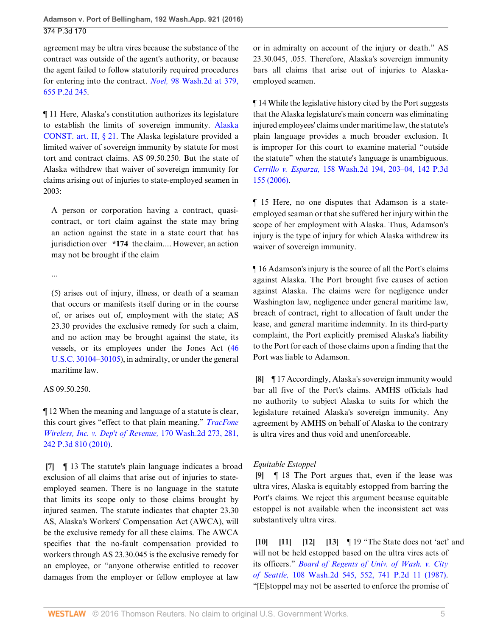agreement may be ultra vires because the substance of the contract was outside of the agent's authority, or because the agent failed to follow statutorily required procedures for entering into the contract. *Noel,* [98 Wash.2d at 379,](http://www.westlaw.com/Link/Document/FullText?findType=Y&serNum=1982154530&pubNum=0000661&originatingDoc=I0d9abdadeb9411e590d4edf60ce7d742&refType=RP&originationContext=document&vr=3.0&rs=cblt1.0&transitionType=DocumentItem&contextData=(sc.Search)) [655 P.2d 245](http://www.westlaw.com/Link/Document/FullText?findType=Y&serNum=1982154530&pubNum=0000661&originatingDoc=I0d9abdadeb9411e590d4edf60ce7d742&refType=RP&originationContext=document&vr=3.0&rs=cblt1.0&transitionType=DocumentItem&contextData=(sc.Search)).

¶ 11 Here, Alaska's constitution authorizes its legislature to establish the limits of sovereign immunity. [Alaska](http://www.westlaw.com/Link/Document/FullText?findType=L&pubNum=1000373&cite=AKCNART2S21&originatingDoc=I0d9abdadeb9411e590d4edf60ce7d742&refType=LQ&originationContext=document&vr=3.0&rs=cblt1.0&transitionType=DocumentItem&contextData=(sc.Search)) [CONST. art. II, § 21.](http://www.westlaw.com/Link/Document/FullText?findType=L&pubNum=1000373&cite=AKCNART2S21&originatingDoc=I0d9abdadeb9411e590d4edf60ce7d742&refType=LQ&originationContext=document&vr=3.0&rs=cblt1.0&transitionType=DocumentItem&contextData=(sc.Search)) The Alaska legislature provided a limited waiver of sovereign immunity by statute for most tort and contract claims. AS 09.50.250. But the state of Alaska withdrew that waiver of sovereign immunity for claims arising out of injuries to state-employed seamen in 2003:

A person or corporation having a contract, quasicontract, or tort claim against the state may bring an action against the state in a state court that has jurisdiction over **\*174** the claim.... However, an action may not be brought if the claim

...

(5) arises out of injury, illness, or death of a seaman that occurs or manifests itself during or in the course of, or arises out of, employment with the state; AS 23.30 provides the exclusive remedy for such a claim, and no action may be brought against the state, its vessels, or its employees under the Jones Act ([46](http://www.westlaw.com/Link/Document/FullText?findType=L&pubNum=1000546&cite=46USCAS30104&originatingDoc=I0d9abdadeb9411e590d4edf60ce7d742&refType=LQ&originationContext=document&vr=3.0&rs=cblt1.0&transitionType=DocumentItem&contextData=(sc.Search)) [U.S.C. 30104–](http://www.westlaw.com/Link/Document/FullText?findType=L&pubNum=1000546&cite=46USCAS30104&originatingDoc=I0d9abdadeb9411e590d4edf60ce7d742&refType=LQ&originationContext=document&vr=3.0&rs=cblt1.0&transitionType=DocumentItem&contextData=(sc.Search))[30105\)](http://www.westlaw.com/Link/Document/FullText?findType=L&pubNum=1000546&cite=46USCAS30105&originatingDoc=I0d9abdadeb9411e590d4edf60ce7d742&refType=LQ&originationContext=document&vr=3.0&rs=cblt1.0&transitionType=DocumentItem&contextData=(sc.Search)), in admiralty, or under the general maritime law.

### AS 09.50.250.

¶ 12 When the meaning and language of a statute is clear, this court gives "effect to that plain meaning." *[TracFone](http://www.westlaw.com/Link/Document/FullText?findType=Y&serNum=2023527492&pubNum=0004645&originatingDoc=I0d9abdadeb9411e590d4edf60ce7d742&refType=RP&originationContext=document&vr=3.0&rs=cblt1.0&transitionType=DocumentItem&contextData=(sc.Search)) [Wireless, Inc. v. Dep't of Revenue,](http://www.westlaw.com/Link/Document/FullText?findType=Y&serNum=2023527492&pubNum=0004645&originatingDoc=I0d9abdadeb9411e590d4edf60ce7d742&refType=RP&originationContext=document&vr=3.0&rs=cblt1.0&transitionType=DocumentItem&contextData=(sc.Search))* 170 Wash.2d 273, 281, [242 P.3d 810 \(2010\)](http://www.westlaw.com/Link/Document/FullText?findType=Y&serNum=2023527492&pubNum=0004645&originatingDoc=I0d9abdadeb9411e590d4edf60ce7d742&refType=RP&originationContext=document&vr=3.0&rs=cblt1.0&transitionType=DocumentItem&contextData=(sc.Search)).

<span id="page-4-0"></span>**[\[7](#page-1-4)]** ¶ 13 The statute's plain language indicates a broad exclusion of all claims that arise out of injuries to stateemployed seamen. There is no language in the statute that limits its scope only to those claims brought by injured seamen. The statute indicates that chapter 23.30 AS, Alaska's Workers' Compensation Act (AWCA), will be the exclusive remedy for all these claims. The AWCA specifies that the no-fault compensation provided to workers through AS 23.30.045 is the exclusive remedy for an employee, or "anyone otherwise entitled to recover damages from the employer or fellow employee at law

or in admiralty on account of the injury or death." AS 23.30.045, .055. Therefore, Alaska's sovereign immunity bars all claims that arise out of injuries to Alaskaemployed seamen.

¶ 14 While the legislative history cited by the Port suggests that the Alaska legislature's main concern was eliminating injured employees' claims under maritime law, the statute's plain language provides a much broader exclusion. It is improper for this court to examine material "outside the statute" when the statute's language is unambiguous. *Cerrillo v. Esparza,* [158 Wash.2d 194, 203–04, 142 P.3d](http://www.westlaw.com/Link/Document/FullText?findType=Y&serNum=2010224967&pubNum=0004645&originatingDoc=I0d9abdadeb9411e590d4edf60ce7d742&refType=RP&originationContext=document&vr=3.0&rs=cblt1.0&transitionType=DocumentItem&contextData=(sc.Search)) [155 \(2006\)](http://www.westlaw.com/Link/Document/FullText?findType=Y&serNum=2010224967&pubNum=0004645&originatingDoc=I0d9abdadeb9411e590d4edf60ce7d742&refType=RP&originationContext=document&vr=3.0&rs=cblt1.0&transitionType=DocumentItem&contextData=(sc.Search)).

¶ 15 Here, no one disputes that Adamson is a stateemployed seaman or that she suffered her injury within the scope of her employment with Alaska. Thus, Adamson's injury is the type of injury for which Alaska withdrew its waiver of sovereign immunity.

¶ 16 Adamson's injury is the source of all the Port's claims against Alaska. The Port brought five causes of action against Alaska. The claims were for negligence under Washington law, negligence under general maritime law, breach of contract, right to allocation of fault under the lease, and general maritime indemnity. In its third-party complaint, the Port explicitly premised Alaska's liability to the Port for each of those claims upon a finding that the Port was liable to Adamson.

<span id="page-4-1"></span>**[\[8](#page-1-0)]** ¶ 17 Accordingly, Alaska's sovereign immunity would bar all five of the Port's claims. AMHS officials had no authority to subject Alaska to suits for which the legislature retained Alaska's sovereign immunity. Any agreement by AMHS on behalf of Alaska to the contrary is ultra vires and thus void and unenforceable.

# *Equitable Estoppel*

<span id="page-4-2"></span>**[\[9](#page-1-1)]** ¶ 18 The Port argues that, even if the lease was ultra vires, Alaska is equitably estopped from barring the Port's claims. We reject this argument because equitable estoppel is not available when the inconsistent act was substantively ultra vires.

<span id="page-4-6"></span><span id="page-4-5"></span><span id="page-4-4"></span><span id="page-4-3"></span>**[\[10](#page-1-5)] [\[11](#page-2-0)] [\[12](#page-2-1)] [\[13](#page-2-2)]** ¶ 19 "The State does not 'act' and will not be held estopped based on the ultra vires acts of its officers." *[Board of Regents of Univ. of Wash. v. City](http://www.westlaw.com/Link/Document/FullText?findType=Y&serNum=1987095026&pubNum=0000661&originatingDoc=I0d9abdadeb9411e590d4edf60ce7d742&refType=RP&originationContext=document&vr=3.0&rs=cblt1.0&transitionType=DocumentItem&contextData=(sc.Search)) of Seattle,* [108 Wash.2d 545, 552, 741 P.2d 11 \(1987\)](http://www.westlaw.com/Link/Document/FullText?findType=Y&serNum=1987095026&pubNum=0000661&originatingDoc=I0d9abdadeb9411e590d4edf60ce7d742&refType=RP&originationContext=document&vr=3.0&rs=cblt1.0&transitionType=DocumentItem&contextData=(sc.Search)). "[E]stoppel may not be asserted to enforce the promise of